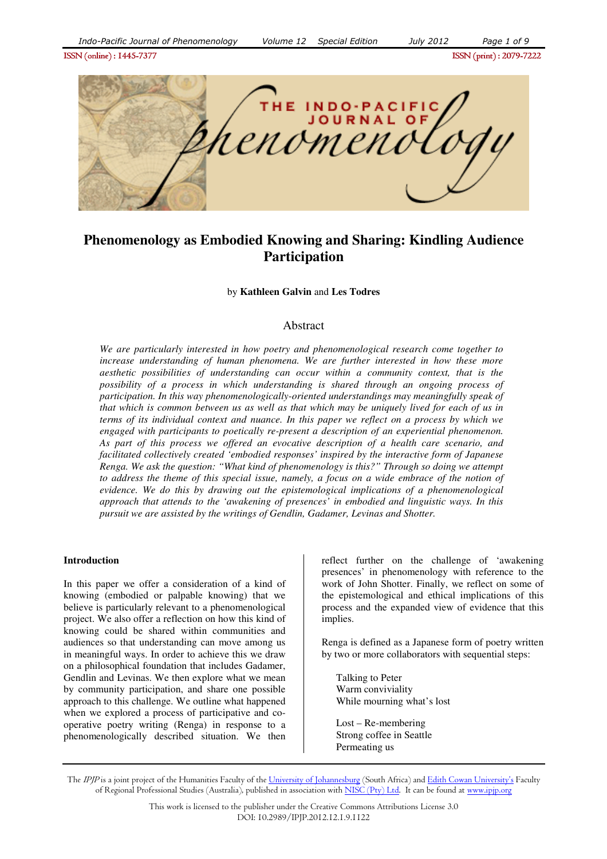ISSN (online) : 1445- ISSN (online) : 1445-7377ISSN (print) : 2079- ISSN 2079-7222



# **Phenomenology as Embodied Knowing and Sharing: Kindling Audience Participation**

by **Kathleen Galvin** and **Les Todres** 

## Abstract

*We are particularly interested in how poetry and phenomenological research come together to increase understanding of human phenomena. We are further interested in how these more aesthetic possibilities of understanding can occur within a community context, that is the possibility of a process in which understanding is shared through an ongoing process of participation. In this way phenomenologically-oriented understandings may meaningfully speak of that which is common between us as well as that which may be uniquely lived for each of us in terms of its individual context and nuance. In this paper we reflect on a process by which we engaged with participants to poetically re-present a description of an experiential phenomenon. As part of this process we offered an evocative description of a health care scenario, and facilitated collectively created 'embodied responses' inspired by the interactive form of Japanese Renga. We ask the question: "What kind of phenomenology is this?" Through so doing we attempt to address the theme of this special issue, namely, a focus on a wide embrace of the notion of evidence. We do this by drawing out the epistemological implications of a phenomenological approach that attends to the 'awakening of presences' in embodied and linguistic ways. In this pursuit we are assisted by the writings of Gendlin, Gadamer, Levinas and Shotter.* 

#### **Introduction**

In this paper we offer a consideration of a kind of knowing (embodied or palpable knowing) that we believe is particularly relevant to a phenomenological project. We also offer a reflection on how this kind of knowing could be shared within communities and audiences so that understanding can move among us in meaningful ways. In order to achieve this we draw on a philosophical foundation that includes Gadamer, Gendlin and Levinas. We then explore what we mean by community participation, and share one possible approach to this challenge. We outline what happened when we explored a process of participative and cooperative poetry writing (Renga) in response to a phenomenologically described situation. We then

reflect further on the challenge of 'awakening presences' in phenomenology with reference to the work of John Shotter. Finally, we reflect on some of the epistemological and ethical implications of this process and the expanded view of evidence that this implies.

Renga is defined as a Japanese form of poetry written by two or more collaborators with sequential steps:

Talking to Peter Warm conviviality While mourning what's lost

Lost – Re-membering Strong coffee in Seattle Permeating us

The IPJP is a joint project of the Humanities Faculty of the University of Johannesburg (South Africa) and Edith Cowan University's Faculty of Regional Professional Studies (Australia), published in association with NISC (Pty) Ltd. It can be found at www.ipip.org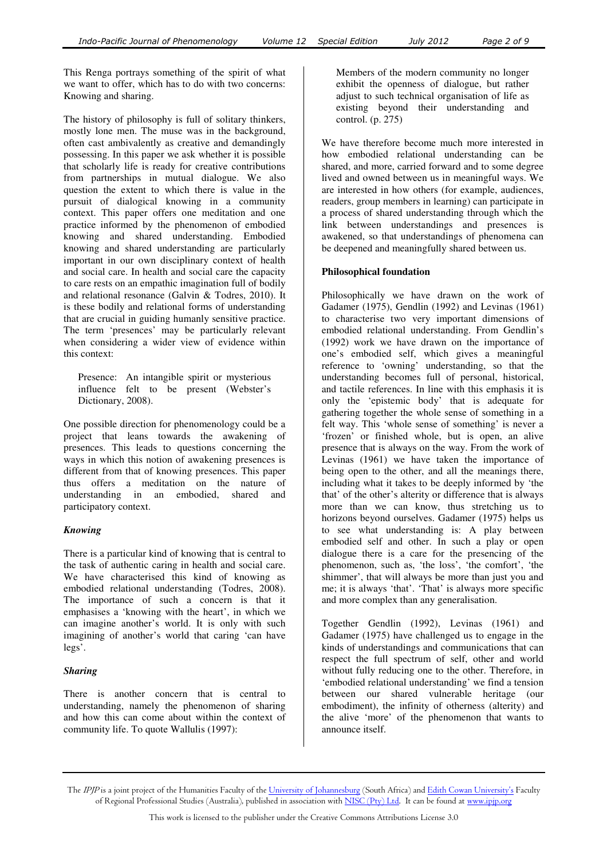This Renga portrays something of the spirit of what we want to offer, which has to do with two concerns: Knowing and sharing.

The history of philosophy is full of solitary thinkers, mostly lone men. The muse was in the background, often cast ambivalently as creative and demandingly possessing. In this paper we ask whether it is possible that scholarly life is ready for creative contributions from partnerships in mutual dialogue. We also question the extent to which there is value in the pursuit of dialogical knowing in a community context. This paper offers one meditation and one practice informed by the phenomenon of embodied knowing and shared understanding. Embodied knowing and shared understanding are particularly important in our own disciplinary context of health and social care. In health and social care the capacity to care rests on an empathic imagination full of bodily and relational resonance (Galvin & Todres, 2010). It is these bodily and relational forms of understanding that are crucial in guiding humanly sensitive practice. The term 'presences' may be particularly relevant when considering a wider view of evidence within this context:

Presence: An intangible spirit or mysterious influence felt to be present (Webster's Dictionary, 2008).

One possible direction for phenomenology could be a project that leans towards the awakening of presences. This leads to questions concerning the ways in which this notion of awakening presences is different from that of knowing presences. This paper thus offers a meditation on the nature of understanding in an embodied, shared and participatory context.

## *Knowing*

There is a particular kind of knowing that is central to the task of authentic caring in health and social care. We have characterised this kind of knowing as embodied relational understanding (Todres, 2008). The importance of such a concern is that it emphasises a 'knowing with the heart', in which we can imagine another's world. It is only with such imagining of another's world that caring 'can have legs'.

#### *Sharing*

There is another concern that is central to understanding, namely the phenomenon of sharing and how this can come about within the context of community life. To quote Wallulis (1997):

Members of the modern community no longer exhibit the openness of dialogue, but rather adjust to such technical organisation of life as existing beyond their understanding and control. (p. 275)

We have therefore become much more interested in how embodied relational understanding can be shared, and more, carried forward and to some degree lived and owned between us in meaningful ways. We are interested in how others (for example, audiences, readers, group members in learning) can participate in a process of shared understanding through which the link between understandings and presences is awakened, so that understandings of phenomena can be deepened and meaningfully shared between us.

### **Philosophical foundation**

Philosophically we have drawn on the work of Gadamer (1975), Gendlin (1992) and Levinas (1961) to characterise two very important dimensions of embodied relational understanding. From Gendlin's (1992) work we have drawn on the importance of one's embodied self, which gives a meaningful reference to 'owning' understanding, so that the understanding becomes full of personal, historical, and tactile references. In line with this emphasis it is only the 'epistemic body' that is adequate for gathering together the whole sense of something in a felt way. This 'whole sense of something' is never a 'frozen' or finished whole, but is open, an alive presence that is always on the way. From the work of Levinas (1961) we have taken the importance of being open to the other, and all the meanings there, including what it takes to be deeply informed by 'the that' of the other's alterity or difference that is always more than we can know, thus stretching us to horizons beyond ourselves. Gadamer (1975) helps us to see what understanding is: A play between embodied self and other. In such a play or open dialogue there is a care for the presencing of the phenomenon, such as, 'the loss', 'the comfort', 'the shimmer', that will always be more than just you and me; it is always 'that'. 'That' is always more specific and more complex than any generalisation.

Together Gendlin (1992), Levinas (1961) and Gadamer (1975) have challenged us to engage in the kinds of understandings and communications that can respect the full spectrum of self, other and world without fully reducing one to the other. Therefore, in 'embodied relational understanding' we find a tension between our shared vulnerable heritage (our embodiment), the infinity of otherness (alterity) and the alive 'more' of the phenomenon that wants to announce itself.

The IPJP is a joint project of the Humanities Faculty of the University of Johannesburg (South Africa) and Edith Cowan University's Faculty of Regional Professional Studies (Australia), published in association with NISC (Pty) Ltd. It can be found at www.ipjp.org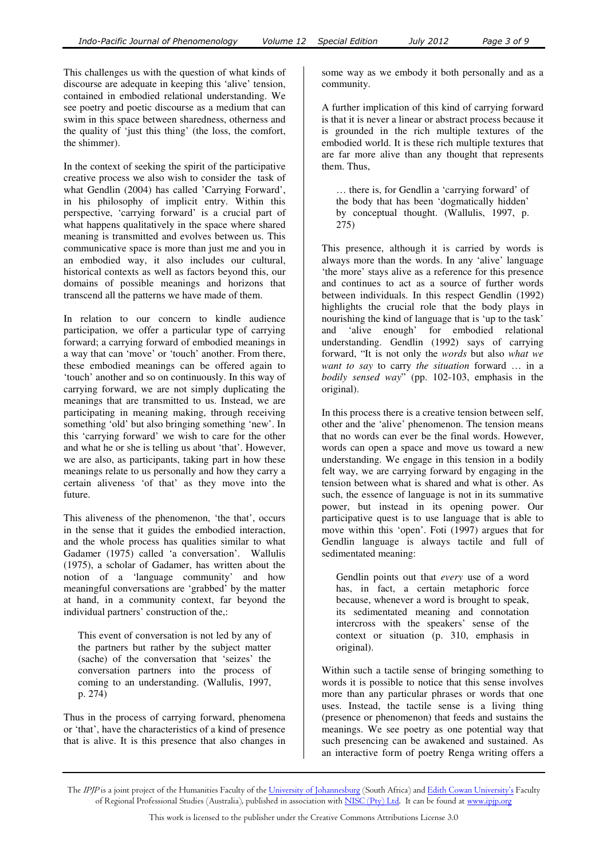This challenges us with the question of what kinds of discourse are adequate in keeping this 'alive' tension, contained in embodied relational understanding. We see poetry and poetic discourse as a medium that can swim in this space between sharedness, otherness and the quality of 'just this thing' (the loss, the comfort, the shimmer).

In the context of seeking the spirit of the participative creative process we also wish to consider the task of what Gendlin (2004) has called 'Carrying Forward', in his philosophy of implicit entry. Within this perspective, 'carrying forward' is a crucial part of what happens qualitatively in the space where shared meaning is transmitted and evolves between us. This communicative space is more than just me and you in an embodied way, it also includes our cultural, historical contexts as well as factors beyond this, our domains of possible meanings and horizons that transcend all the patterns we have made of them.

In relation to our concern to kindle audience participation, we offer a particular type of carrying forward; a carrying forward of embodied meanings in a way that can 'move' or 'touch' another. From there, these embodied meanings can be offered again to 'touch' another and so on continuously. In this way of carrying forward, we are not simply duplicating the meanings that are transmitted to us. Instead, we are participating in meaning making, through receiving something 'old' but also bringing something 'new'. In this 'carrying forward' we wish to care for the other and what he or she is telling us about 'that'. However, we are also, as participants, taking part in how these meanings relate to us personally and how they carry a certain aliveness 'of that' as they move into the future.

This aliveness of the phenomenon, 'the that', occurs in the sense that it guides the embodied interaction, and the whole process has qualities similar to what Gadamer (1975) called 'a conversation'. Wallulis (1975), a scholar of Gadamer, has written about the notion of a 'language community' and how meaningful conversations are 'grabbed' by the matter at hand, in a community context, far beyond the individual partners' construction of the,:

This event of conversation is not led by any of the partners but rather by the subject matter (sache) of the conversation that 'seizes' the conversation partners into the process of coming to an understanding. (Wallulis, 1997, p. 274)

Thus in the process of carrying forward, phenomena or 'that', have the characteristics of a kind of presence that is alive. It is this presence that also changes in

some way as we embody it both personally and as a community.

A further implication of this kind of carrying forward is that it is never a linear or abstract process because it is grounded in the rich multiple textures of the embodied world. It is these rich multiple textures that are far more alive than any thought that represents them. Thus,

… there is, for Gendlin a 'carrying forward' of the body that has been 'dogmatically hidden' by conceptual thought. (Wallulis, 1997, p. 275)

This presence, although it is carried by words is always more than the words. In any 'alive' language 'the more' stays alive as a reference for this presence and continues to act as a source of further words between individuals. In this respect Gendlin (1992) highlights the crucial role that the body plays in nourishing the kind of language that is 'up to the task' and 'alive enough' for embodied relational understanding. Gendlin (1992) says of carrying forward, "It is not only the *words* but also *what we want to say* to carry *the situation* forward … in a *bodily sensed way*" (pp. 102-103, emphasis in the original).

In this process there is a creative tension between self, other and the 'alive' phenomenon. The tension means that no words can ever be the final words. However, words can open a space and move us toward a new understanding. We engage in this tension in a bodily felt way, we are carrying forward by engaging in the tension between what is shared and what is other. As such, the essence of language is not in its summative power, but instead in its opening power. Our participative quest is to use language that is able to move within this 'open'. Foti (1997) argues that for Gendlin language is always tactile and full of sedimentated meaning:

Gendlin points out that *every* use of a word has, in fact, a certain metaphoric force because, whenever a word is brought to speak, its sedimentated meaning and connotation intercross with the speakers' sense of the context or situation (p. 310, emphasis in original).

Within such a tactile sense of bringing something to words it is possible to notice that this sense involves more than any particular phrases or words that one uses. Instead, the tactile sense is a living thing (presence or phenomenon) that feeds and sustains the meanings. We see poetry as one potential way that such presencing can be awakened and sustained. As an interactive form of poetry Renga writing offers a

The *IPJP* is a joint project of the Humanities Faculty of the <u>University of Johannesburg</u> (South Africa) and <u>Edith Cowan University's</u> Faculty of Regional Professional Studies (Australia), published in association with <u>NISC (Pty) Ltd</u>. It can be found at <u>www.ipjp.org</u>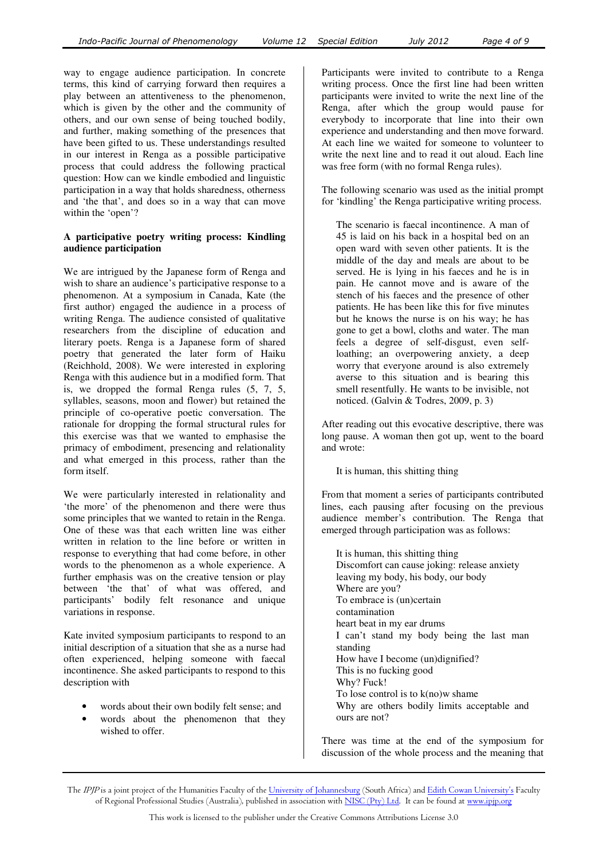way to engage audience participation. In concrete terms, this kind of carrying forward then requires a play between an attentiveness to the phenomenon, which is given by the other and the community of others, and our own sense of being touched bodily, and further, making something of the presences that have been gifted to us. These understandings resulted in our interest in Renga as a possible participative process that could address the following practical question: How can we kindle embodied and linguistic participation in a way that holds sharedness, otherness and 'the that', and does so in a way that can move within the 'open'?

## **A participative poetry writing process: Kindling audience participation**

We are intrigued by the Japanese form of Renga and wish to share an audience's participative response to a phenomenon. At a symposium in Canada, Kate (the first author) engaged the audience in a process of writing Renga. The audience consisted of qualitative researchers from the discipline of education and literary poets. Renga is a Japanese form of shared poetry that generated the later form of Haiku (Reichhold, 2008). We were interested in exploring Renga with this audience but in a modified form. That is, we dropped the formal Renga rules (5, 7, 5, syllables, seasons, moon and flower) but retained the principle of co-operative poetic conversation. The rationale for dropping the formal structural rules for this exercise was that we wanted to emphasise the primacy of embodiment, presencing and relationality and what emerged in this process, rather than the form itself.

We were particularly interested in relationality and 'the more' of the phenomenon and there were thus some principles that we wanted to retain in the Renga. One of these was that each written line was either written in relation to the line before or written in response to everything that had come before, in other words to the phenomenon as a whole experience. A further emphasis was on the creative tension or play between 'the that' of what was offered, and participants' bodily felt resonance and unique variations in response.

Kate invited symposium participants to respond to an initial description of a situation that she as a nurse had often experienced, helping someone with faecal incontinence. She asked participants to respond to this description with

- words about their own bodily felt sense; and
- words about the phenomenon that they wished to offer.

Participants were invited to contribute to a Renga writing process. Once the first line had been written participants were invited to write the next line of the Renga, after which the group would pause for everybody to incorporate that line into their own experience and understanding and then move forward. At each line we waited for someone to volunteer to write the next line and to read it out aloud. Each line was free form (with no formal Renga rules).

The following scenario was used as the initial prompt for 'kindling' the Renga participative writing process.

The scenario is faecal incontinence. A man of 45 is laid on his back in a hospital bed on an open ward with seven other patients. It is the middle of the day and meals are about to be served. He is lying in his faeces and he is in pain. He cannot move and is aware of the stench of his faeces and the presence of other patients. He has been like this for five minutes but he knows the nurse is on his way; he has gone to get a bowl, cloths and water. The man feels a degree of self-disgust, even selfloathing; an overpowering anxiety, a deep worry that everyone around is also extremely averse to this situation and is bearing this smell resentfully. He wants to be invisible, not noticed. (Galvin & Todres, 2009, p. 3)

After reading out this evocative descriptive, there was long pause. A woman then got up, went to the board and wrote:

It is human, this shitting thing

From that moment a series of participants contributed lines, each pausing after focusing on the previous audience member's contribution. The Renga that emerged through participation was as follows:

It is human, this shitting thing Discomfort can cause joking: release anxiety leaving my body, his body, our body Where are you? To embrace is (un)certain contamination heart beat in my ear drums I can't stand my body being the last man standing How have I become (un)dignified? This is no fucking good Why? Fuck! To lose control is to  $k(no)$  shame Why are others bodily limits acceptable and ours are not?

There was time at the end of the symposium for discussion of the whole process and the meaning that

The IPJP is a joint project of the Humanities Faculty of the University of Johannesburg (South Africa) and Edith Cowan University's Faculty of Regional Professional Studies (Australia), published in association with NISC (Pty) Ltd. It can be found at www.ipjp.org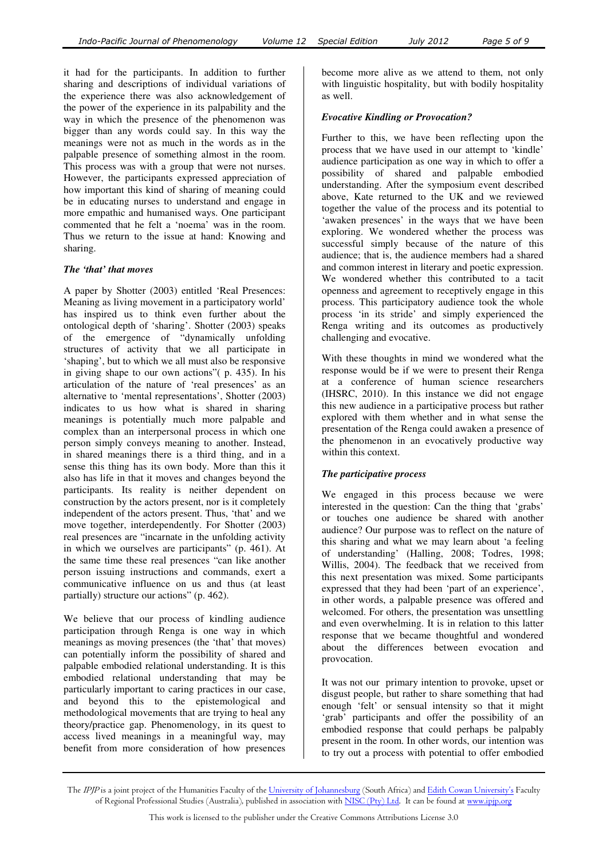it had for the participants. In addition to further sharing and descriptions of individual variations of the experience there was also acknowledgement of the power of the experience in its palpability and the way in which the presence of the phenomenon was bigger than any words could say. In this way the meanings were not as much in the words as in the palpable presence of something almost in the room. This process was with a group that were not nurses. However, the participants expressed appreciation of how important this kind of sharing of meaning could be in educating nurses to understand and engage in more empathic and humanised ways. One participant commented that he felt a 'noema' was in the room. Thus we return to the issue at hand: Knowing and sharing.

## *The 'that' that moves*

A paper by Shotter (2003) entitled 'Real Presences: Meaning as living movement in a participatory world' has inspired us to think even further about the ontological depth of 'sharing'. Shotter (2003) speaks of the emergence of "dynamically unfolding structures of activity that we all participate in 'shaping', but to which we all must also be responsive in giving shape to our own actions"( p. 435). In his articulation of the nature of 'real presences' as an alternative to 'mental representations', Shotter (2003) indicates to us how what is shared in sharing meanings is potentially much more palpable and complex than an interpersonal process in which one person simply conveys meaning to another. Instead, in shared meanings there is a third thing, and in a sense this thing has its own body. More than this it also has life in that it moves and changes beyond the participants. Its reality is neither dependent on construction by the actors present, nor is it completely independent of the actors present. Thus, 'that' and we move together, interdependently. For Shotter (2003) real presences are "incarnate in the unfolding activity in which we ourselves are participants" (p. 461). At the same time these real presences "can like another person issuing instructions and commands, exert a communicative influence on us and thus (at least partially) structure our actions" (p. 462).

We believe that our process of kindling audience participation through Renga is one way in which meanings as moving presences (the 'that' that moves) can potentially inform the possibility of shared and palpable embodied relational understanding. It is this embodied relational understanding that may be particularly important to caring practices in our case, and beyond this to the epistemological and methodological movements that are trying to heal any theory/practice gap. Phenomenology, in its quest to access lived meanings in a meaningful way, may benefit from more consideration of how presences

become more alive as we attend to them, not only with linguistic hospitality, but with bodily hospitality as well.

## *Evocative Kindling or Provocation?*

Further to this, we have been reflecting upon the process that we have used in our attempt to 'kindle' audience participation as one way in which to offer a possibility of shared and palpable embodied understanding. After the symposium event described above, Kate returned to the UK and we reviewed together the value of the process and its potential to 'awaken presences' in the ways that we have been exploring. We wondered whether the process was successful simply because of the nature of this audience; that is, the audience members had a shared and common interest in literary and poetic expression. We wondered whether this contributed to a tacit openness and agreement to receptively engage in this process. This participatory audience took the whole process 'in its stride' and simply experienced the Renga writing and its outcomes as productively challenging and evocative.

With these thoughts in mind we wondered what the response would be if we were to present their Renga at a conference of human science researchers (IHSRC, 2010). In this instance we did not engage this new audience in a participative process but rather explored with them whether and in what sense the presentation of the Renga could awaken a presence of the phenomenon in an evocatively productive way within this context.

## *The participative process*

We engaged in this process because we were interested in the question: Can the thing that 'grabs' or touches one audience be shared with another audience? Our purpose was to reflect on the nature of this sharing and what we may learn about 'a feeling of understanding' (Halling, 2008; Todres, 1998; Willis, 2004). The feedback that we received from this next presentation was mixed. Some participants expressed that they had been 'part of an experience', in other words, a palpable presence was offered and welcomed. For others, the presentation was unsettling and even overwhelming. It is in relation to this latter response that we became thoughtful and wondered about the differences between evocation and provocation.

It was not our primary intention to provoke, upset or disgust people, but rather to share something that had enough 'felt' or sensual intensity so that it might 'grab' participants and offer the possibility of an embodied response that could perhaps be palpably present in the room. In other words, our intention was to try out a process with potential to offer embodied

The *IPJP* is a joint project of the Humanities Faculty of the <u>University of Johannesburg</u> (South Africa) and <u>Edith Cowan University's</u> Faculty of Regional Professional Studies (Australia), published in association with <u>NISC (Pty) Ltd</u>. It can be found at <u>www.ipjp.org</u>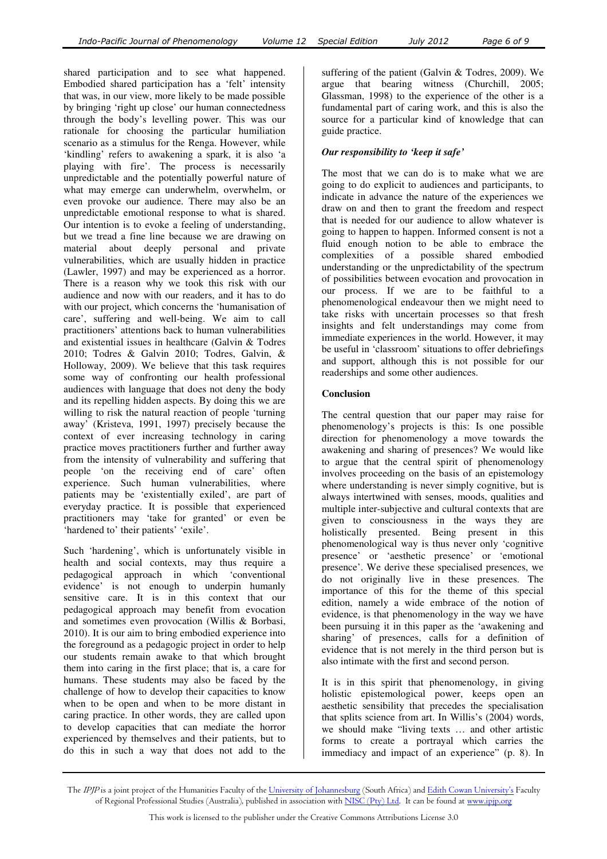shared participation and to see what happened. Embodied shared participation has a 'felt' intensity that was, in our view, more likely to be made possible by bringing 'right up close' our human connectedness through the body's levelling power. This was our rationale for choosing the particular humiliation scenario as a stimulus for the Renga. However, while 'kindling' refers to awakening a spark, it is also 'a playing with fire'. The process is necessarily unpredictable and the potentially powerful nature of what may emerge can underwhelm, overwhelm, or even provoke our audience. There may also be an unpredictable emotional response to what is shared. Our intention is to evoke a feeling of understanding, but we tread a fine line because we are drawing on material about deeply personal and private vulnerabilities, which are usually hidden in practice (Lawler, 1997) and may be experienced as a horror. There is a reason why we took this risk with our audience and now with our readers, and it has to do with our project, which concerns the 'humanisation of care', suffering and well-being. We aim to call practitioners' attentions back to human vulnerabilities and existential issues in healthcare (Galvin & Todres 2010; Todres & Galvin 2010; Todres, Galvin, & Holloway, 2009). We believe that this task requires some way of confronting our health professional audiences with language that does not deny the body and its repelling hidden aspects. By doing this we are willing to risk the natural reaction of people 'turning away' (Kristeva, 1991, 1997) precisely because the context of ever increasing technology in caring practice moves practitioners further and further away from the intensity of vulnerability and suffering that people 'on the receiving end of care' often experience. Such human vulnerabilities, where patients may be 'existentially exiled', are part of everyday practice. It is possible that experienced

Such 'hardening', which is unfortunately visible in health and social contexts, may thus require a pedagogical approach in which 'conventional evidence' is not enough to underpin humanly sensitive care. It is in this context that our pedagogical approach may benefit from evocation and sometimes even provocation (Willis & Borbasi, 2010). It is our aim to bring embodied experience into the foreground as a pedagogic project in order to help our students remain awake to that which brought them into caring in the first place; that is, a care for humans. These students may also be faced by the challenge of how to develop their capacities to know when to be open and when to be more distant in caring practice. In other words, they are called upon to develop capacities that can mediate the horror experienced by themselves and their patients, but to do this in such a way that does not add to the

practitioners may 'take for granted' or even be

'hardened to' their patients' 'exile'.

suffering of the patient (Galvin & Todres, 2009). We argue that bearing witness (Churchill, 2005; Glassman, 1998) to the experience of the other is a fundamental part of caring work, and this is also the source for a particular kind of knowledge that can guide practice.

## *Our responsibility to 'keep it safe'*

The most that we can do is to make what we are going to do explicit to audiences and participants, to indicate in advance the nature of the experiences we draw on and then to grant the freedom and respect that is needed for our audience to allow whatever is going to happen to happen. Informed consent is not a fluid enough notion to be able to embrace the complexities of a possible shared embodied understanding or the unpredictability of the spectrum of possibilities between evocation and provocation in our process. If we are to be faithful to a phenomenological endeavour then we might need to take risks with uncertain processes so that fresh insights and felt understandings may come from immediate experiences in the world. However, it may be useful in 'classroom' situations to offer debriefings and support, although this is not possible for our readerships and some other audiences.

## **Conclusion**

The central question that our paper may raise for phenomenology's projects is this: Is one possible direction for phenomenology a move towards the awakening and sharing of presences? We would like to argue that the central spirit of phenomenology involves proceeding on the basis of an epistemology where understanding is never simply cognitive, but is always intertwined with senses, moods, qualities and multiple inter-subjective and cultural contexts that are given to consciousness in the ways they are holistically presented. Being present in this phenomenological way is thus never only 'cognitive presence' or 'aesthetic presence' or 'emotional presence'. We derive these specialised presences, we do not originally live in these presences. The importance of this for the theme of this special edition, namely a wide embrace of the notion of evidence, is that phenomenology in the way we have been pursuing it in this paper as the 'awakening and sharing' of presences, calls for a definition of evidence that is not merely in the third person but is also intimate with the first and second person.

It is in this spirit that phenomenology, in giving holistic epistemological power, keeps open an aesthetic sensibility that precedes the specialisation that splits science from art. In Willis's (2004) words, we should make "living texts … and other artistic forms to create a portrayal which carries the immediacy and impact of an experience" (p. 8). In

The IPJP is a joint project of the Humanities Faculty of the University of Johannesburg (South Africa) and Edith Cowan University's Faculty of Regional Professional Studies (Australia), published in association with NISC (Pty) Ltd. It can be found at www.ipjp.org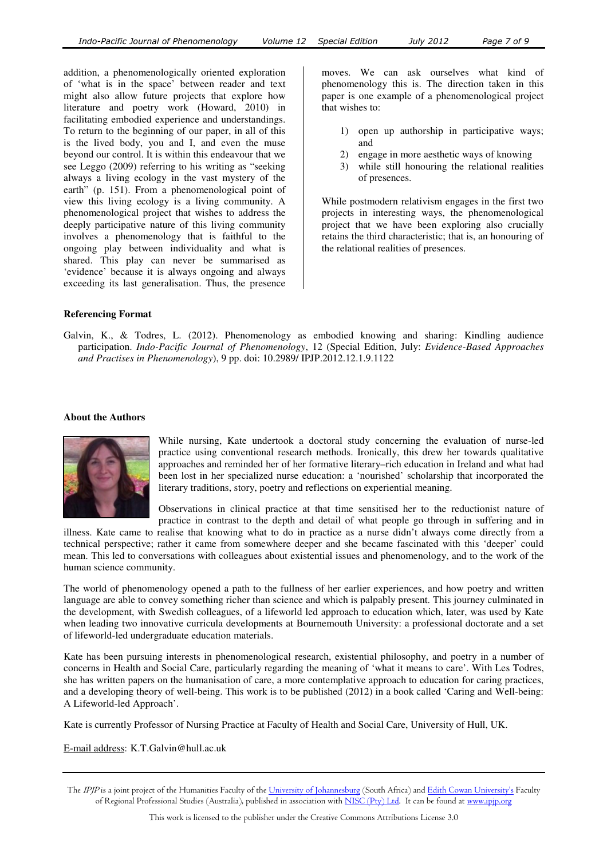addition, a phenomenologically oriented exploration of 'what is in the space' between reader and text might also allow future projects that explore how literature and poetry work (Howard, 2010) in facilitating embodied experience and understandings. To return to the beginning of our paper, in all of this is the lived body, you and I, and even the muse beyond our control. It is within this endeavour that we see Leggo (2009) referring to his writing as "seeking always a living ecology in the vast mystery of the earth" (p. 151). From a phenomenological point of view this living ecology is a living community. A phenomenological project that wishes to address the deeply participative nature of this living community involves a phenomenology that is faithful to the ongoing play between individuality and what is shared. This play can never be summarised as 'evidence' because it is always ongoing and always exceeding its last generalisation. Thus, the presence

moves. We can ask ourselves what kind of phenomenology this is. The direction taken in this paper is one example of a phenomenological project that wishes to:

- 1) open up authorship in participative ways; and
- 2) engage in more aesthetic ways of knowing
- 3) while still honouring the relational realities of presences.

While postmodern relativism engages in the first two projects in interesting ways, the phenomenological project that we have been exploring also crucially retains the third characteristic; that is, an honouring of the relational realities of presences.

#### **Referencing Format**

Galvin, K., & Todres, L. (2012). Phenomenology as embodied knowing and sharing: Kindling audience participation. *Indo-Pacific Journal of Phenomenology*, 12 (Special Edition, July: *Evidence-Based Approaches and Practises in Phenomenology*), 9 pp. doi: 10.2989/ IPJP.2012.12.1.9.1122

#### **About the Authors**



While nursing, Kate undertook a doctoral study concerning the evaluation of nurse-led practice using conventional research methods. Ironically, this drew her towards qualitative approaches and reminded her of her formative literary–rich education in Ireland and what had been lost in her specialized nurse education: a 'nourished' scholarship that incorporated the literary traditions, story, poetry and reflections on experiential meaning.

Observations in clinical practice at that time sensitised her to the reductionist nature of practice in contrast to the depth and detail of what people go through in suffering and in

illness. Kate came to realise that knowing what to do in practice as a nurse didn't always come directly from a technical perspective; rather it came from somewhere deeper and she became fascinated with this 'deeper' could mean. This led to conversations with colleagues about existential issues and phenomenology, and to the work of the human science community.

The world of phenomenology opened a path to the fullness of her earlier experiences, and how poetry and written language are able to convey something richer than science and which is palpably present. This journey culminated in the development, with Swedish colleagues, of a lifeworld led approach to education which, later, was used by Kate when leading two innovative curricula developments at Bournemouth University: a professional doctorate and a set of lifeworld-led undergraduate education materials.

Kate has been pursuing interests in phenomenological research, existential philosophy, and poetry in a number of concerns in Health and Social Care, particularly regarding the meaning of 'what it means to care'. With Les Todres, she has written papers on the humanisation of care, a more contemplative approach to education for caring practices, and a developing theory of well-being. This work is to be published (2012) in a book called 'Caring and Well-being: A Lifeworld-led Approach'.

Kate is currently Professor of Nursing Practice at Faculty of Health and Social Care, University of Hull, UK.

E-mail address: K.T.Galvin@hull.ac.uk

The IPJP is a joint project of the Humanities Faculty of the University of Johannesburg (South Africa) and Edith Cowan University's Faculty of Regional Professional Studies (Australia), published in association with NISC (Pty) Ltd. It can be found at www.ipjp.org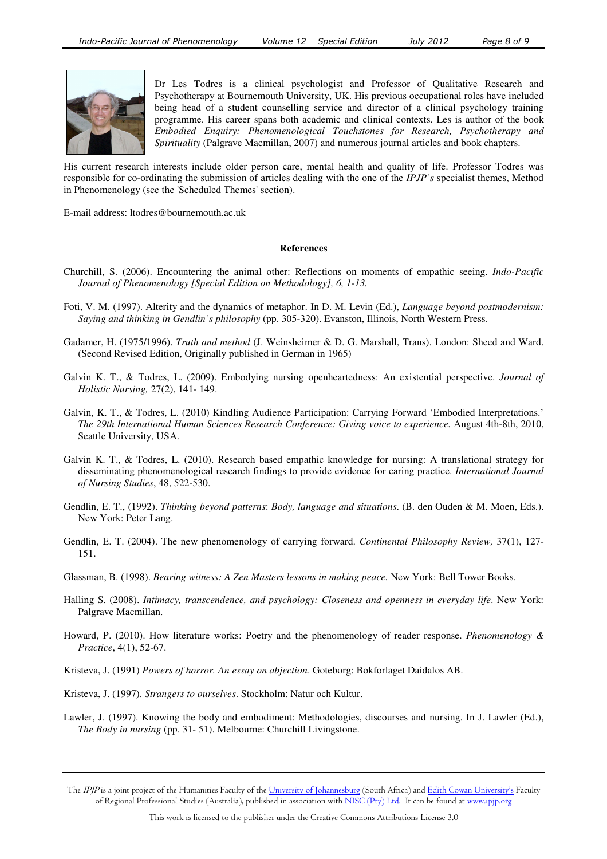

Dr Les Todres is a clinical psychologist and Professor of Qualitative Research and Psychotherapy at Bournemouth University, UK. His previous occupational roles have included being head of a student counselling service and director of a clinical psychology training programme. His career spans both academic and clinical contexts. Les is author of the book *Embodied Enquiry: Phenomenological Touchstones for Research, Psychotherapy and Spirituality* (Palgrave Macmillan, 2007) and numerous journal articles and book chapters.

His current research interests include older person care, mental health and quality of life. Professor Todres was responsible for co-ordinating the submission of articles dealing with the one of the *IPJP's* specialist themes, Method in Phenomenology (see the 'Scheduled Themes' section).

E-mail address: ltodres@bournemouth.ac.uk

#### **References**

- Churchill, S. (2006). Encountering the animal other: Reflections on moments of empathic seeing. *Indo-Pacific Journal of Phenomenology [Special Edition on Methodology], 6, 1-13.*
- Foti, V. M. (1997). Alterity and the dynamics of metaphor. In D. M. Levin (Ed.), *Language beyond postmodernism: Saying and thinking in Gendlin's philosophy* (pp. 305-320). Evanston, Illinois, North Western Press.
- Gadamer, H. (1975/1996). *Truth and method* (J. Weinsheimer & D. G. Marshall, Trans). London: Sheed and Ward. (Second Revised Edition, Originally published in German in 1965)
- Galvin K. T., & Todres, L. (2009). Embodying nursing openheartedness: An existential perspective. *Journal of Holistic Nursing,* 27(2), 141- 149.
- Galvin, K. T., & Todres, L. (2010) Kindling Audience Participation: Carrying Forward 'Embodied Interpretations.' *The 29th International Human Sciences Research Conference: Giving voice to experience.* August 4th-8th, 2010, Seattle University, USA.
- Galvin K. T., & Todres, L. (2010). Research based empathic knowledge for nursing: A translational strategy for disseminating phenomenological research findings to provide evidence for caring practice. *International Journal of Nursing Studies*, 48, 522-530.
- Gendlin, E. T., (1992). *Thinking beyond patterns*: *Body, language and situations*. (B. den Ouden & M. Moen, Eds.). New York: Peter Lang.
- Gendlin, E. T. (2004). The new phenomenology of carrying forward. *Continental Philosophy Review,* 37(1), 127- 151.
- Glassman, B. (1998). *Bearing witness: A Zen Masters lessons in making peace.* New York: Bell Tower Books.
- Halling S. (2008). *Intimacy, transcendence, and psychology: Closeness and openness in everyday life*. New York: Palgrave Macmillan.
- Howard, P. (2010). How literature works: Poetry and the phenomenology of reader response. *Phenomenology & Practice*, 4(1), 52-67.
- Kristeva, J. (1991) *Powers of horror. An essay on abjection*. Goteborg: Bokforlaget Daidalos AB.
- Kristeva, J. (1997). *Strangers to ourselves*. Stockholm: Natur och Kultur.
- Lawler, J. (1997). Knowing the body and embodiment: Methodologies, discourses and nursing. In J. Lawler (Ed.), *The Body in nursing* (pp. 31- 51). Melbourne: Churchill Livingstone.

The IPIP is a joint project of the Humanities Faculty of the University of Johannesburg (South Africa) and Edith Cowan University's Faculty of Regional Professional Studies (Australia), published in association with NISC (Pty) Ltd. It can be found at www.ipjp.org